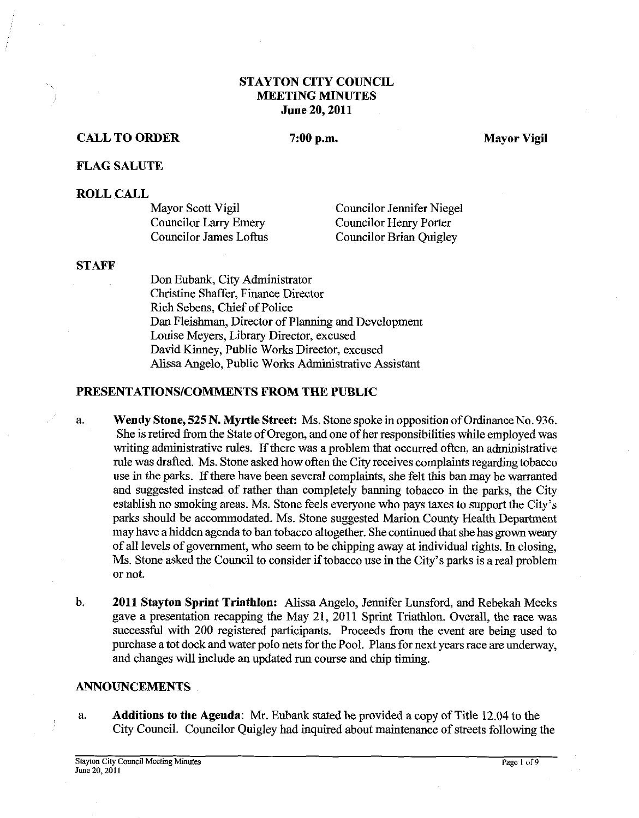## **STAYTON CITY COUNCIL MEETING MINUTES June 20,2011**

## **CALL TO ORDER**

## 7:00 p.m.

**Mayor Vigil** 

#### **FLAG SALUTE**

#### **ROLL CALL**

| Mayor Scott Vigil             | <b>Councilor Jennifer Niegel</b> |
|-------------------------------|----------------------------------|
| <b>Councilor Larry Emery</b>  | Councilor Henry Porter           |
| <b>Councilor James Loftus</b> | Councilor Brian Quigley          |

#### **STAFF**

Don Eubank, City Administrator Christine Shaffer, Finance Director Rich Sebens, Chief of Police Dan Fleishman, Director of Planning and Development Louise Meyers, Library Director, excused David Kinney, Public Works Director, excused Alissa Angelo, Public Works Administrative Assistant

#### **PRESENTATIONS/COMMENTS FROM THE PUBLIC**

- a. **Wendy Stone, 525 N. Myrtle Street:** Ms. Stone spoke in opposition of OrdinanceNo. 936. She is retired from the State of Oregon, and one of her responsibilities while employed was writing administrative rules. If there was a problem that occurred often, an administrative rule was drafted. Ms. Stone asked how often the City receives complaints regarding tobacco use in the parks. If there have been several complaints, she felt this ban may be warranted and suggested instead of rather than completely banning tobacco in the parks, the City establish no smoking areas. Ms. Stone feels everyone who pays taxes to support the City's parks should be accommodated. Ms. Stone suggested Marion County Health Department may have a hidden agenda to ban tobacco altogether. She continued that she has grown weary of all levels of government, who seem to be chipping away at individual rights. In closing, Ms. Stone asked the Council to consider if tobacco use in the City's parks is a real problem or not.
- b. **2011 Stayton Sprint Triathlon:** Alissa Angelo, Jennifer Lunsford, and Rebekah Meeks gave a presentation recapping the May 21, 2011 Sprint Triathlon. Overall, the race was successful with 200 registered participants. Proceeds fiom the event are being used to purchase a tot dock and water polo nets for the Pool. Plans for next years race are underway, and changes will include an updated run course and chip timing.

## **ANNOUNCEMENTS**

a. **Additions to the Agenda:** Mr. Eubank stated he provided a copy of Title 12.04 to the City Council. Councilor Quigley had inquired about maintenance of streets following the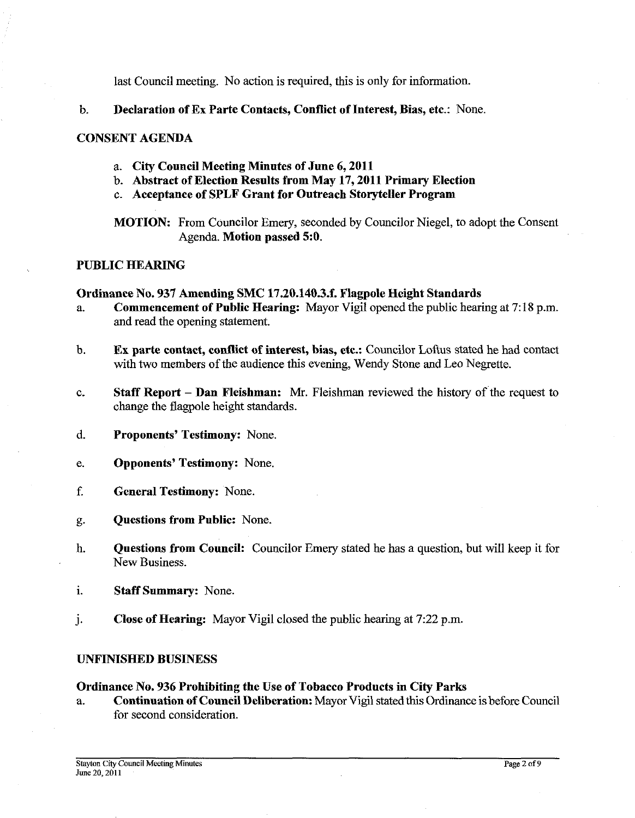last Council meeting. No action is required, this is only for information.

b. Declaration of Ex Parte Contacts, Conflict of Interest, Bias, etc.: None.

# CONSENT AGENDA

- a. City Council Meeting Minutes of June 6,2011
- b. Abstract of Election Results from May 17,2011 Primary Election
- c. Acceptance of SPLF Grant for Outreach Storyteller Program

MOTION: From Councilor Emery, seconded by Councilor Niegel, to adopt the Consent Agenda. Motion passed 5:0.

## PUBLIC HEARING

## Ordinance No. 937 Amending SMC 17.20.140.3.f. Flagpole Height Standards

- a. Commencement of Public Hearing: Mayor Vigil opened the public hearing at 7: 18 p.m. and read the opening statement.
- b. Ex parte contact, conflict of interest, bias, etc.: Councilor Loftus stated he had contact with two members of the audience this evening, Wendy Stone and Leo Negrette.
- c. Staff Report Dan Fleishman: Mr. Fleishman reviewed the history of the request to change the flagpole height standards.
- d. Proponents' Testimony: None.
- e. Opponents' Testimony: None.
- f. General Testimony: None.
- g. Questions from Public: None.
- h. Questions from Council: Councilor Emery stated he has a question, but will keep it for New Business.
- i. Staff Summary: None.
- j. Close of Hearing: Mayor Vigil closed the public hearing at 7:22 p.m.

#### UNFINISHED BUSINESS

## Ordinance No. 936 Prohibiting the Use of Tobacco Products in City Parks

a. Continuation of Council Deliberation: Mayor Vigil stated this Ordinance is before Council for second consideration.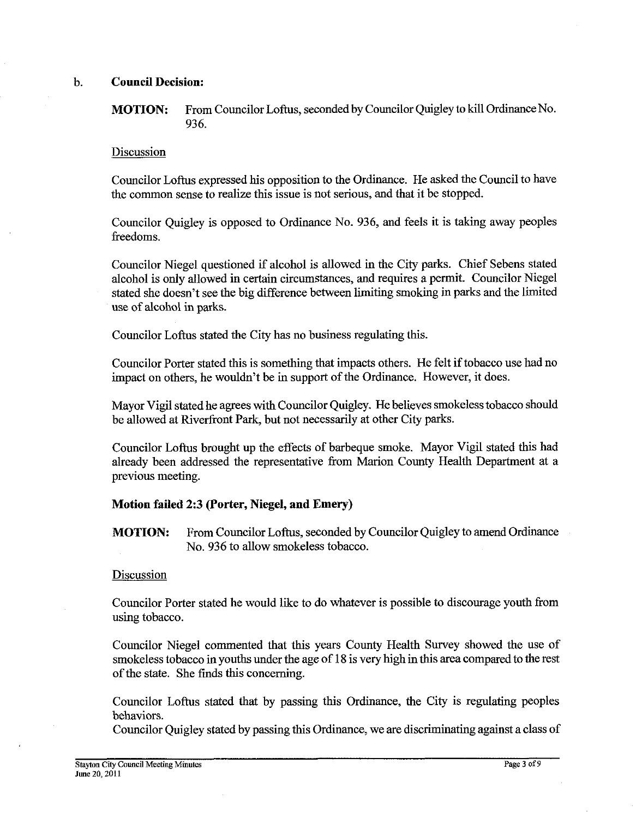# b. **Council Decision:**

**MOTION:** From Councilor Loftus, seconded by Councilor Quigley to kill Ordinance No. 936.

## Discussion

Councilor Loftus expressed his opposition to the Ordinance. He asked the Council to have the common sense to realize this issue is not serious, and that it be stopped.

Councilor Quigley is opposed to Ordinance No. 936, and feels it is taking away peoples freedoms.

Councilor Niegel questioned if alcohol is allowed in the City parks. Chief Sebens stated alcohol is only allowed in certain circumstances, and requires a pennit. Councilor Niegel stated she doesn't see the big difference between limiting smoking in parks and the limited use of alcohol in parks.

Councilor Loftus stated the City has no business regulating this.

Councilor Porter stated this is something that impacts others. He felt if tobacco use had no impact on others, he wouldn't be in support of the Ordinance. However, it does.

Mayor Vigil stated he agrees with Councilor Quigley. He believes smokeless tobacco should be allowed at Riverfront Park, but not necessarily at other City parks.

Councilor Loftus brought up the effects of barbeque smoke. Mayor Vigil stated this had already been addressed the representative from Marion County Health Department at a previous meeting.

#### **Motion failed 2:3 (Porter, Niegel, and Emery)**

**MOTION:** From Councilor Loftus, seconded by Councilor Quigley to amend Ordinance No. 936 to allow smokeless tobacco.

#### Discussion

Councilor Porter stated he would like to do whatever is possible to discourage youth from using tobacco.

Councilor Niegel commented that this years County Health Survey showed the use of smokeless tobacco in youths under the age of 18 is very high in this area compared to the rest of the state. She fmds this concerning.

Councilor Loftus stated that by passing this Ordinance, the City is regulating peoples behaviors.

Councilor Quigley stated by passing this Ordinance, we are discriminating against a class of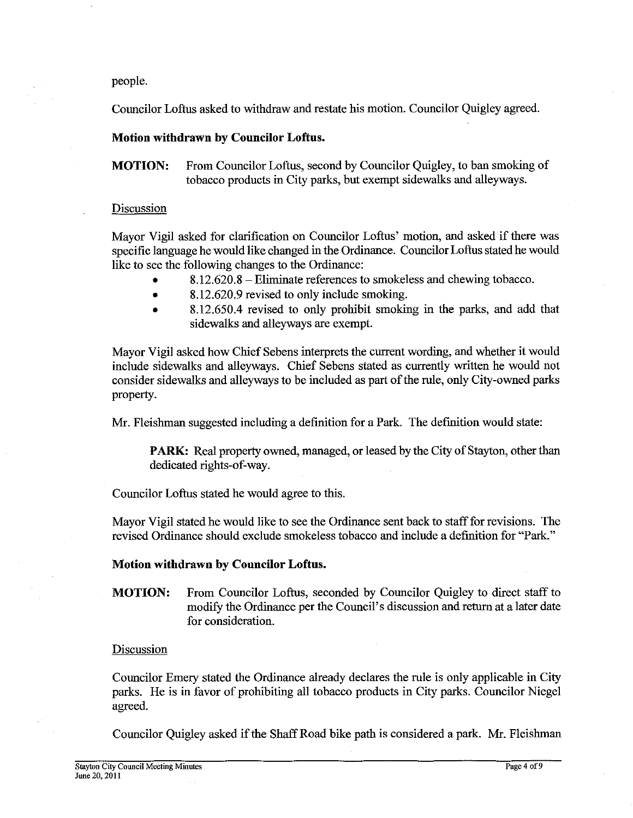#### people.

Councilor Loftus asked to withdraw and restate his motion. Councilor Quigley agreed.

## **Motion withdrawn by Councilor Loftus.**

**MOTION:** From Councilor Loftus, second by Councilor Quigley, to ban smoking of tobacco products in City parks, but exempt sidewalks and alleyways.

## Discussion

Mayor Vigil asked for clarification on Councilor Loftus' motion, and asked if there was specific language he would like changed in the Ordinance. Councilor Loftus stated he would like to see the following changes to the Ordinance:

- 8.12.620.8 -Eliminate references to smokeless and chewing tobacco.
- 8.12.620.9 revised to only include smoking.  $\bullet$
- 8.12.650.4 revised to only prohibit smoking in the parks, and add that  $\blacksquare$ sidewalks and alleyways are exempt.

Mayor Vigil asked how Chief Sebens interprets the current wording, and whether it would include sidewalks and alleyways. Chief Sebens stated as currently written he would not consider sidewalks and alleyways to be included as part of the rule, only City-owned parks property.

Mr. Fleishman suggested including a definition for a Park. The definition would state:

PARK: Real property owned, managed, or leased by the City of Stayton, other than dedicated rights-of-way.

Councilor Loftus stated he would agree to this.

Mayor Vigil stated he would like to see the Ordinance sent back to staff for revisions. The revised Ordinance should exclude smokeless tobacco and include a definition for "Park."

#### **Motion withdrawn by Councilor Loftus.**

**MOTION:** From Councilor Loftus, seconded by Councilor Quigley to direct staff to modify the Ordinance per the Council's discussion and return at a later date for consideration.

#### **Discussion**

Councilor Emery stated the Ordinance already declares the rule is only applicable in City parks. He is in favor of prohibiting all tobacco products in City parks. Councilor Niegel agreed.

Councilor Quigley asked if the Shaff Road bike path is considered a park. Mr. Fleishman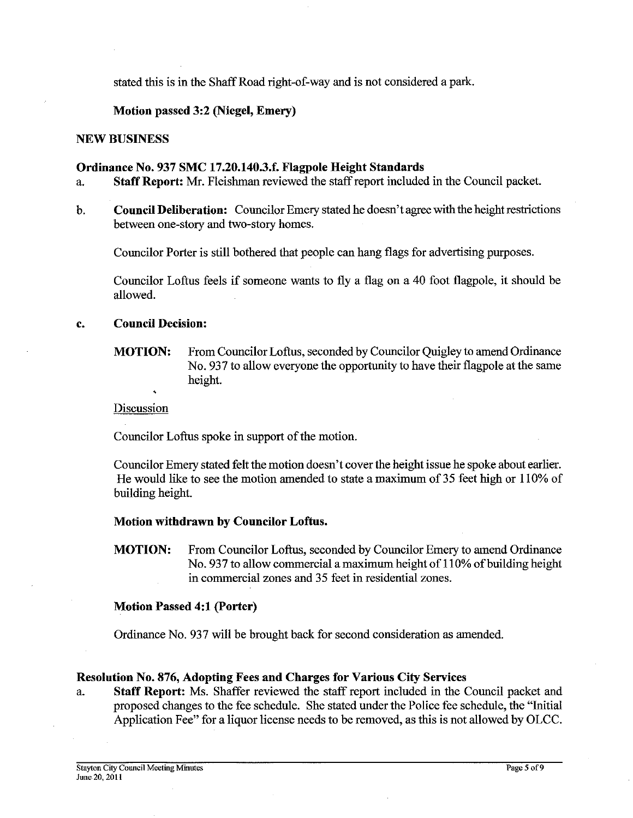stated this is in the Shaff Road right-of-way and is not considered a park.

# **Motion passed 3:2 (Niegel, Emery)**

#### **NEW BUSINESS**

#### **Ordinance No. 937 SMC 17.20.140.3.f. Flagpole Height Standards**

- a. **Staff Report: Mr.** Fleishman reviewed the staff report included in the Council packet.
- b. **Council Deliberation:** Councilor Emery stated he doesn't agree with the height restrictions between one-story and two-story homes.

Councilor Porter is still bothered that people can hang flags for advertising purposes.

Councilor Loftus feels if someone wants to fly a flag on a 40 foot flagpole, it should be allowed.

## **c. Council Decision:**

**MOTION:** From Councilor Loftus, seconded by Councilor Quigley to amend Ordinance No. 937 to allow everyone the opportunity to have their flagpole at the same height.

#### Discussion

Councilor Loftus spoke in support of the motion.

Councilor Emery stated felt the motion doesn't cover the height issue he spoke about earlier. He would like to see the motion amended to state a maximum of 35 feet high or 110% of building height.

#### **Motion withdrawn by Councilor Loftus.**

**MOTION:** From Councilor Loftus, seconded by Councilor Emery to amend Ordinance No. 937 to allow commercial a maximum height of 110% of building height in commercial zones and 35 feet in residential zones.

#### **Motion Passed 4:1 (Porter)**

Ordinance No. 937 will be brought back for second consideration as amended.

#### **Resolution No. 876, Adopting Fees and Charges for Various City Services**

a. **Staff Report:** Ms. Shaffer reviewed the staff report included in the Council packet and proposed changes to the fee schedule. She stated under the Police fee schedule, the "Initial Application Fee" for a liquor license needs to be removed, as this is not allowed by OLCC.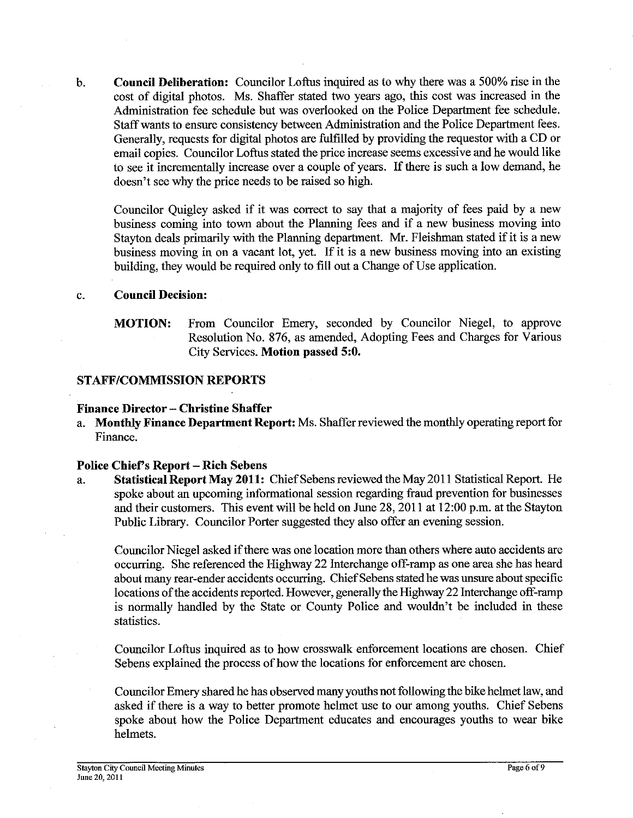b. **Council Deliberation:** Councilor Loftus inquired as to why there was a 500% rise in the cost of digital photos. Ms. Shaffer stated two years ago, this cost was increased in the Administration fee schedule but was overlooked on the Police Department fee schedule. Staff wants to ensure consistency between Administration and the Police Department fees. Generally, requests for digital photos are fulfilled by providing the requestor with a CD or email copies. Councilor Loftus stated the price increase seems excessive and he would like to see it incrementally increase over a couple of years. If there is such a low demand, he doesn't see why the price needs to be raised so high.

Councilor Quigley asked if it was correct to say that a majority of fees paid by a new business coming into town about the Planning fees and if a new business moving into Stayton deals primarily with the Planning department. Mr. Fleishman stated if it is a new business moving in on a vacant lot, yet. If it is a new business moving into an existing building, they would be required only to fill out a Change of Use application.

## c. **Council Decision:**

**MOTION:** From Councilor Emery, seconded by Councilor Niegel, to approve Resolution No. 876, as amended, Adopting Fees and Charges for Various City Services. **Motion passed 5:O.** 

## **STAFFICOMMISSION REPORTS**

## **Finance Director** - **Christine Shaffer**

a. **Monthly Finance Department Report:** Ms. Shaffer reviewed the monthly operating report for Finance.

#### **Police Chiefs Report** - **Rich Sebens**

a. **Statistical Report May 2011:** Chief Sebens reviewed the May 201 1 Statistical Report. He spoke about an upcoming informational session regarding fraud prevention for businesses and their customers. This event will be held on June 28, 2011 at 12:00 p.m. at the Stayton Public Library. Councilor Porter suggested they also offer an evening session.

Councilor Niegel asked if there was one location more than others where auto accidents are occurring. She referenced the Highway 22 Interchange off-ramp as one area she has heard about many rear-ender accidents occurring. Chief Sebens stated he was unsure about specific locations of the accidents reported. However, generally the Highway 22 Interchange off-ramp is normally handled by the State or County Police and wouldn't be included in these statistics.

Councilor Loftus inquired as to how crosswalk enforcement locations are chosen. Chief Sebens explained the process of how the locations for enforcement are chosen.

Councilor Emery shared he has observed many youths not following the bike helmet law, and asked if there is a way to better promote helmet use to our among youths. Chief Sebens spoke about how the Police Department educates and encourages youths to wear bike helmets.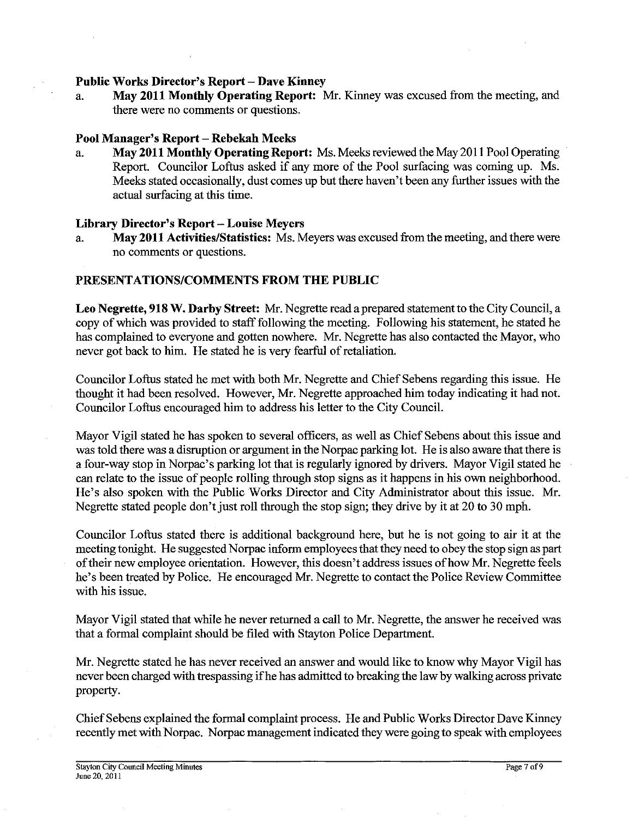## Public Works Director's Report - Dave Kinney

a. **May 2011 Monthly Operating Report: Mr.** Kinney was excused from the meeting, and there were no comments or questions.

# **Pool Manager's Report** - **Rebekah Meeks**

a. **May 2011 Monthly Operating Report:** Ms. Meeks reviewed the May 201 1 Pool Operating Report. Councilor Loftus asked if any more of the Pool surfacing was coming up. Ms. Meeks stated occasionally, dust comes up but there haven't been any further issues with the actual surfacing at this time.

## **Library Director's Report** - **Louise Meyers**

a. **May 2011 Activities/Statistics:** Ms. Meyers was excused from the meeting, and there were no comments or questions.

# **PRESENTATIONSICOMMENTS PROM THE PUBLIC**

**Leo Negrette, 918 W. Darby Street: Mr.** Negrette read aprepared statement to the City Council, a copy of which was provided to staff following the meeting. Following his statement, he stated he has complained to everyone and gotten nowhere. Mr. Negrette has also contacted the Mayor, who never got back to him. He stated he is very fearful of retaliation.

Councilor Loftus stated he met with both Mr. Negrette and Chief Sebens regarding this issue. He thought it had been resolved. However, Mr. Negrette approached him today indicating it had not. Councilor Loftus encouraged him to address his letter to the City Council.

Mayor Vigil stated he has spoken to several officers, as well as Chief Sebens about this issue and was told there was a disruption or argument in the Norpac parking lot. He is also aware that there is a four-way stop in Norpac's parking lot that is regularly ignored by drivers. Mayor Vigil stated he can relate to the issue of people rolling through stop signs as it happens in his own neighborhood. He's also spoken with the Public Works Director and City Administrator about this issue. Mr. Negrette stated people don't just roll through the stop sign; they drive by it at 20 to 30 mph.

Councilor Loftus stated there is additional background here, but he is not going to air it at the meeting tonight. He suggested Norpac inform employees that they need to obey the stop sign as part of their new employee orientation. However, this doesn't address issues of how Mr. Negrette feels he's been treated by Police. He encouraged Mr. Negrette to contact the Police Review Committee with his issue.

Mayor Vigil stated that while he never returned a call to Mr. Negrette, the answer he received was that a formal complaint should be filed with Stayton Police Department.

Mr. Negrette stated he has never received an answer and would like to know why Mayor Vigil has never been charged with trespassing if he has admitted to breaking the law by walking across private property.

Chief Sebens explained the formal complaint process. He and Public Works Director Dave Kinney recently met with Norpac. Norpac management indicated they were going to speak with employees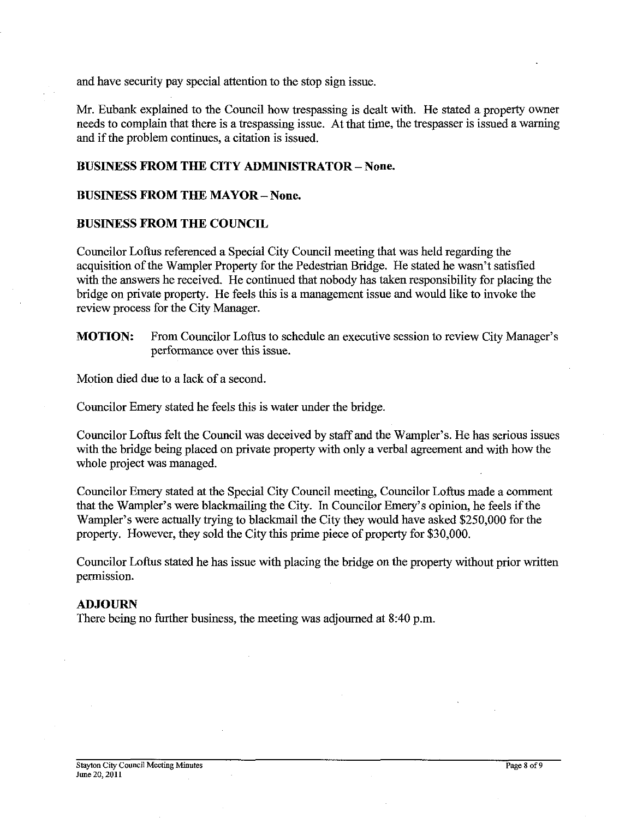and have security pay special attention to the stop sign issue.

Mr. Eubank explained to the Council how trespassing is dealt with. He stated a property owner needs to complain that there is a trespassing issue. At that time, the trespasser is issued a warning and if the problem continues, a citation is issued.

# **BUSINESS FROM THE CITY ADMINISTRATOR** - **None.**

## **BUSINESS FROM THE MAYOR** - **None.**

## **BUSINESS FROM THE COUNCIL**

Councilor Loftus referenced a Special City Council meeting that was held regarding the acquisition of the Warnpler Property for the Pedestrian Bridge. He stated he wasn't satisfied with the answers he received. He continued that nobody has taken responsibility for placing the bridge on private property. He feels this is a management issue and would like to invoke the review process for the City Manager.

**MOTION:** From Councilor Loftus to schedule an executive session to review City Manager's performance over this issue.

Motion died due to a lack of a second.

Councilor Emery stated he feels this is water under the bridge.

Councilor Loftus felt the Council was deceived by staff and the Wampler's. He has serious issues with the bridge being placed on private property with only a verbal agreement and with how the whole project was managed.

Councilor Emery stated at the Special City Council meeting, Councilor Loftus made a comment that the Wampler's were blackmailing the City. In Councilor Emery's opinion, he feels if the Wampler's were actually trying to blackmail the City they would have asked \$250,000 for the property. However, they sold the City this prime piece of property for \$30,000.

Councilor Loftus stated he has issue with placing the bridge on the property without prior written permission.

#### **ADJOURN**

There being no further business, the meeting was adjourned at 8:40 p.m.